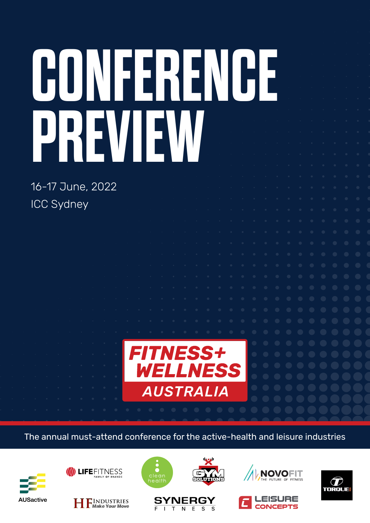# **CONFERENCE PREVIEW**

16-17 June, 2022 ICC Sydney



The annual must-attend conference for the active-health and leisure industries









 $\mathbf{I}$ 

**SYNERGY** 

T N E S



 $\mathbf{S}$ 





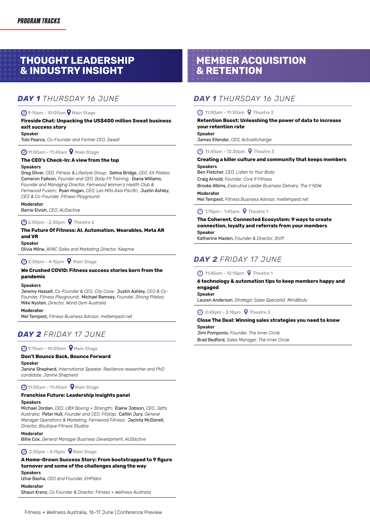## **THOUGHT LEADERSHIP & INDUSTRY INSIGHT**

## *DAY 1 THURSDAY 16 JUNE*

#### 9:15am - 10:00am Main Stage

#### **Fireside Chat: Unpacking the US\$400 million Sweat business exit success story**

#### Speaker

Tobi Pearce, *Co-Founder and Former CEO, Sweat*

#### **4** 11:00am - 11:45am **9** Main Stage

#### **The CEO's Check-In: A view from the top**

#### Speakers

Greg Oliver, *CEO, Fitness & Lifestyle Group;* Selina Bridge, *CEO, KX Pilates*; Cameron Falloon, *Founder and CEO, Body Fit Training;* Diana Williams, *Founder and Managing Director, Fernwood Women's Health Club & Fernwood Fusion*; Ryan Hogan, *CEO, Les Mills Asia Pacific*; Justin Ashley, *CEO & Co-Founder, Fitness Playground*

#### Moderator

Barrie Elvish, *CEO, AUSactive*

#### **4** 2:00pm - 2:30pm **9** Theatre 2

#### **The Future Of Fitness: AI, Automation, Wearables, Meta AR and VR**

#### Speaker

Olivia Milne, *APAC Sales and Marketing Director, Keepme*

#### $\bigcirc$  3:30pm - 4:15pm  $\bigcirc$  Main Stage

#### **We Crushed COVID: Fitness success stories born from the pandemic**

#### Speakers

Jeremy Hassell, *Co-Founder & CEO, City Cave;* Justin Ashley, *CEO & Co-Founder, Fitness Playground*; Michael Ramsey, *Founder, Strong Pilates;*  Mike Nysten, *Director, World Gym Australia*

#### Moderator

Mel Tempest, *Fitness Business Advisor, meltempest.net*

## *DAY 2 FRIDAY 17 JUNE*

#### 9:15am - 10:00am Main Stage

#### **Don't Bounce Back, Bounce Forward**

#### Speaker

Janine Shepherd, *International Speaker, Resilience researcher and PhD candidate, Janine Shepherd*

#### **4** 11:00am - 11:45am <br> **9** Main Stage

## **Franchise Future: Leadership insights panel**

#### Speakers

Michael Jordan, *CEO, UBX Boxing + Strength*; Elaine Jobson, *CEO, Jetts Australia*; Peter Hull, *Founder and CEO, Fitstop*; Caitlin Jury, *General Manager Operations & Marketing, Fernwood Fitness;* Jacinta McDonell, *Director, Boutique Fitness Studios*

#### **Moderator**

Billie Cox, *General Manager Business Development, AUSactive*

 $\bigodot$  3:30pm - 4:15pm  $\bigcirc$  Main Stage

## **A Home-Grown Success Story: From bootstrapped to 9 figure turnover and some of the challenges along the way**

Speakers

Izhar Basha, *CEO and Founder, EHPlabs*

#### Moderator

Shaun Krenz, *Co Founder & Director, Fitness + Wellness Australia*

## **MEMBER ACQUISITION & RETENTION**

## *DAY 1 THURSDAY 16 JUNE*

## 11:00am - 11:30am Theatre 2

#### **Retention Boost: Unleashing the power of data to increase your retention rate**

Speaker

James Ellender, *CEO, ActiveXchange*

#### **4** 11:45am - 12:30pm **9** Theatre 3

#### **Creating a killer culture and community that keeps members**

Speakers Ben Fletcher, *CEO, Listen to Your Body* Craig Arnold, *Founder, Core 9 Fitness*

Brooke Atkins, *Executive Leader Business Delivery, The Y NSW* Moderator

Mel Tempest, *Fitness Business Advisor, meltempest.net*

#### 1:15pm - 1:45pm Theatre 1

**The Coherent, Connected Ecosystem: 9 ways to create connection, loyalty and referrals from your members Speaker** Katherine Maslen, *Founder & Director, Shift* 

## *DAY 2 FRIDAY 17 JUNE*

#### **41:45am - 12:15pm • Theatre 1**

#### **6 technology & automation tips to keep members happy and engaged** Speaker

Lauren Anderson, *Strategic Sales Specialist, MindBody*

#### 2:45pm - 3:15pm Theatre 3

## **Close The Deal: Winning sales strategies you need to know**

Speaker Jimi Pomponio, *Founder, The Inner Circle* Brad Bedford, *Sales Manager, The Inner Circle*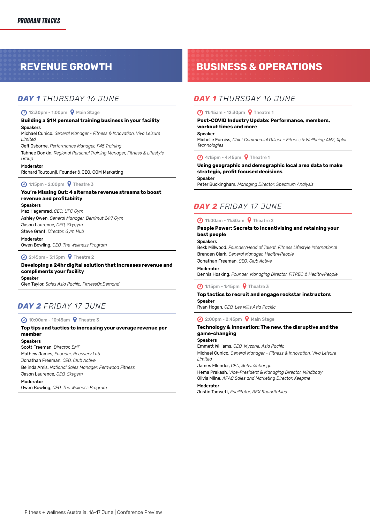## *DAY 1 THURSDAY 16 JUNE*

#### 12:30pm - 1:00pm Main Stage

#### **Building a \$1M personal training business in your facility** Speakers

Michael Cunico, *General Manager - Fitness & Innovation, Viva Leisure Limited*

Jeff Osborne, *Performance Manager, F45 Training*

Tahnee Donkin, *Regional Personal Training Manager, Fitness & Lifestyle Group*

#### Moderator

Richard Toutounji, Founder & CEO, COM Marketing

1:15pm - 2:00pm Theatre 3

#### **You're Missing Out: 4 alternate revenue streams to boost revenue and profitability**

Speakers Maz Hagemrad, *CEO, UFC Gym* Ashley Owen, *General Manager, Derrimut 24:7 Gym* Jason Laurence, *CEO, Skygym* Steve Grant, *Director, Gym Hub*

Moderator

Owen Bowling, *CEO, The Wellness Program*

## **45pm - 3:15pm 9 Theatre 2**

**Developing a 24hr digital solution that increases revenue and compliments your facility** Speaker Glen Taylor, *Sales Asia Pacific, FitnessOnDemand*

## *DAY 2 FRIDAY 17 JUNE*

#### **4** 10:00am - 10:45am **9** Theatre 3

#### **Top tips and tactics to increasing your average revenue per member**

Speakers

Scott Freeman, *Director, EMF* Mathew James, *Founder, Recovery Lab* Jonathan Freeman, *CEO, Club Active* Belinda Amis, *National Sales Manager, Fernwood Fitness*

Jason Laurence, *CEO, Skygym*

Moderator

Owen Bowling, *CEO, The Wellness Program*

# **REVENUE GROWTH BUSINESS & OPERATIONS**

## *DAY 1 THURSDAY 16 JUNE*

#### **4** 11:45am - 12:30pm **9** Theatre 1

#### **Post-COVID Industry Update: Performance, members, workout times and more**

Speaker

Michelle Furniss, *Chief Commercial Officer - Fitness & Wellbeing ANZ, Xplor Technologies*

#### **4:15pm - 4:45pm 9 Theatre 1**

#### **Using geographic and demographic local area data to make strategic, profit focused decisions**

Speaker

Peter Buckingham, *Managing Director, Spectrum Analysis*

## *DAY 2 FRIDAY 17 JUNE*

### **4** 11:00am - 11:30am **9** Theatre 2

#### **People Power: Secrets to incentivising and retaining your best people**

#### **Speakers**

Bekk Millwood, *Founder/Head of Talent, Fitness Lifestyle International* Brenden Clark, *General Manager, HealthyPeople*

Jonathan Freeman, *CEO, Club Active*

Moderator

Dennis Hosking, *Founder, Managing Director, FITREC & HealthyPeople*

#### **4** 1:15pm - 1:45pm **9** Theatre 3

#### **Top tactics to recruit and engage rockstar instructors** Speaker

Ryan Hogan, *CEO, Les Mills Asia Pacific*

#### $\bigcirc$  2:00pm - 2:45pm  $\bigcirc$  Main Stage

#### **Technology & Innovation: The new, the disruptive and the game-changing**

Speakers

Emmett Williams, *CEO, Myzone, Asia Pacific*

Michael Cunico, *General Manager - Fitness & Innovation, Viva Leisure Limited*

James Ellender, *CEO, ActiveXchange*

Hema Prakash, *Vice-President & Managing Director, Mindbody* Olivia Milne, *APAC Sales and Marketing Director, Keepme*

**Moderator** 

Justin Tamsett, *Facilitator, REX Roundtables*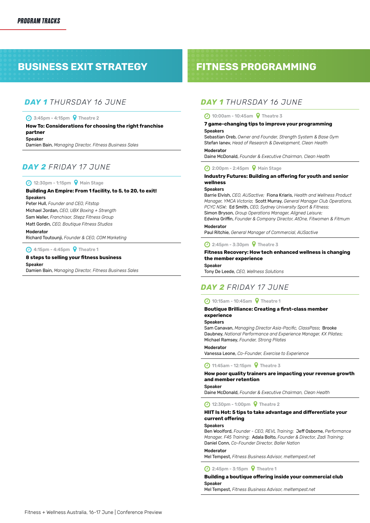# **BUSINESS EXIT STRATEGY FITNESS PROGRAMMING**

## *DAY 1 THURSDAY 16 JUNE*

#### 3:45pm - 4:15pm Theatre 2

#### **How To: Considerations for choosing the right franchise partner** Speaker

Damien Bain, *Managing Director, Fitness Business Sales*

## *DAY 2 FRIDAY 17 JUNE*

#### **4** 12:30pm - 1:15pm **9** Main Stage

## **Building An Empire: From 1 facility, to 5, to 20, to exit!**

**Speakers** 

Peter Hull, *Founder and CEO, Fitstop* Michael Jordan, *CEO, UBX Boxing + Strength* Sam Waller, *Franchisor, Stepz Fitness Group* Matt Gordin, *CEO, Boutique Fitness Studios*

#### Moderator

Richard Toutounji, *Founder & CEO, COM Marketing*

**4:15pm - 4:45pm • Theatre 1** 

#### **8 steps to selling your fitness business**

Speaker Damien Bain, *Managing Director, Fitness Business Sales*

## *DAY 1 THURSDAY 16 JUNE*

## **4** 10:00am - 10:45am **9** Theatre 3

#### **7 game-changing tips to improve your programming** Speakers

Sebastian Oreb, *Owner and Founder, Strength System & Base Gym* Stefan Ianev, *Head of Research & Development, Clean Health*

#### Moderator

Daine McDonald, *Founder & Executive Chairman, Clean Health*

#### 2:00pm - 2:45pm Main Stage

#### **Industry Futures: Building an offering for youth and senior wellness**

#### **Speakers**

Barrie Elvish, *CEO, AUSactive;* Fiona Kriaris, *Health and Wellness Product Manager, YMCA Victoria*; Scott Murray, *General Manager Club Operations, PCYC NSW;* Ed Smith, *CEO, Sydney University Sport & Fitness;*  Simon Bryson, *Group Operations Manager, Aligned Leisure;* 

Edwina Griffin, *Founder & Company Director, AtOne, Fitwomen & Fitmum* Moderator

#### Paul Ritchie, *General Manager of Commercial, AUSactive*

#### 2:45pm - 3:30pm Theatre 3

#### **Fitness Recovery: How tech enhanced wellness is changing the member experience**

#### Speaker

Tony De Leede, *CEO, Wellness Solutions*

## *DAY 2 FRIDAY 17 JUNE*

#### **4** 10:15am - 10:45am **9** Theatre 1

#### **Boutique Brilliance: Creating a first-class member experience**

#### Speakers

Sam Canavan, *Managing Director Asia-Pacific, ClassPass*; Brooke Daubney, *National Performance and Experience Manager, KX Pilates*; Michael Ramsey, *Founder, Strong Pilates*

#### Moderator

Vanessa Leone, *Co-Founder, Exercise to Experience*

**4** 11:45am - 12:15pm **9** Theatre 3

#### **How poor quality trainers are impacting your revenue growth and member retention**

**Speaker** 

Daine McDonald, *Founder & Executive Chairman, Clean Health*

12:30pm - 1:00pm Theatre 2

#### **HIIT Is Hot: 5 tips to take advantage and differentiate your current offering**

#### Speakers

Ben Woolford, *Founder - CEO, REVL Training;* Jeff Osborne, *Performance Manager, F45 Training;* Adala Bolto, *Founder & Director, Zadi Training;*  Daniel Conn, *Co-Founder Director, Baller Nation*

#### Moderator

Mel Tempest, *Fitness Business Advisor, meltempest.net*

**4** 2:45pm - 3:15pm **9** Theatre 1

#### **Building a boutique offering inside your commercial club Speaker**

Mel Tempest, *Fitness Business Advisor, meltempest.net*